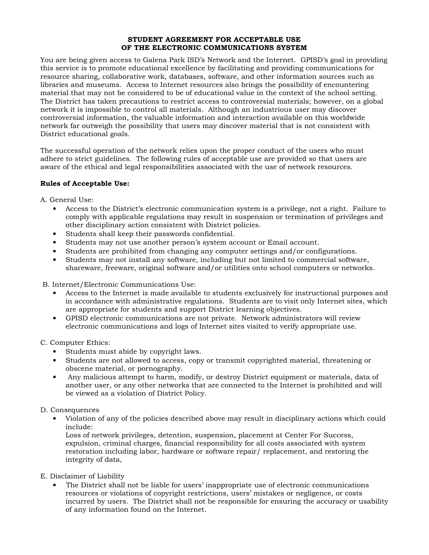#### STUDENT AGREEMENT FOR ACCEPTABLE USE OF THE ELECTRONIC COMMUNICATIONS SYSTEM

You are being given access to Galena Park ISD's Network and the Internet. GPISD's goal in providing this service is to promote educational excellence by facilitating and providing communications for resource sharing, collaborative work, databases, software, and other information sources such as libraries and museums. Access to Internet resources also brings the possibility of encountering material that may not be considered to be of educational value in the context of the school setting. The District has taken precautions to restrict access to controversial materials; however, on a global network it is impossible to control all materials. Although an industrious user may discover controversial information, the valuable information and interaction available on this worldwide network far outweigh the possibility that users may discover material that is not consistent with District educational goals.

The successful operation of the network relies upon the proper conduct of the users who must adhere to strict guidelines. The following rules of acceptable use are provided so that users are aware of the ethical and legal responsibilities associated with the use of network resources.

### Rules of Acceptable Use:

A. General Use:

- Access to the District's electronic communication system is a privilege, not a right. Failure to comply with applicable regulations may result in suspension or termination of privileges and other disciplinary action consistent with District policies.
- Students shall keep their passwords confidential.
- Students may not use another person's system account or Email account.
- Students are prohibited from changing any computer settings and/or configurations.
- Students may not install any software, including but not limited to commercial software, shareware, freeware, original software and/or utilities onto school computers or networks.

B. Internet/Electronic Communications Use:

- Access to the Internet is made available to students exclusively for instructional purposes and in accordance with administrative regulations. Students are to visit only Internet sites, which are appropriate for students and support District learning objectives.
- GPISD electronic communications are not private. Network administrators will review electronic communications and logs of Internet sites visited to verify appropriate use.

C. Computer Ethics:

- Students must abide by copyright laws.
- Students are not allowed to access, copy or transmit copyrighted material, threatening or obscene material, or pornography.
- Any malicious attempt to harm, modify, or destroy District equipment or materials, data of another user, or any other networks that are connected to the Internet is prohibited and will be viewed as a violation of District Policy.

# D. Consequences

• Violation of any of the policies described above may result in disciplinary actions which could include:

Loss of network privileges, detention, suspension, placement at Center For Success, expulsion, criminal charges, financial responsibility for all costs associated with system restoration including labor, hardware or software repair/ replacement, and restoring the integrity of data,

#### E. Disclaimer of Liability

• The District shall not be liable for users' inappropriate use of electronic communications resources or violations of copyright restrictions, users' mistakes or negligence, or costs incurred by users. The District shall not be responsible for ensuring the accuracy or usability of any information found on the Internet.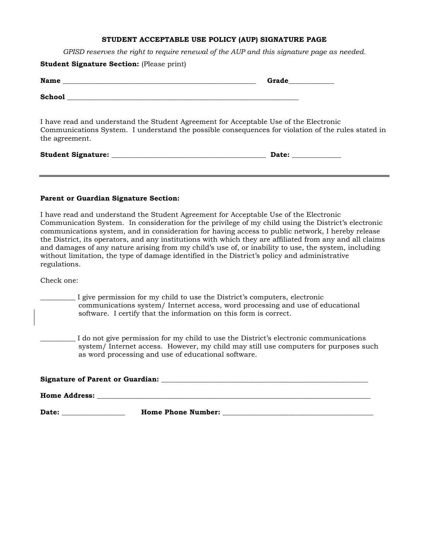# STUDENT ACCEPTABLE USE POLICY (AUP) SIGNATURE PAGE

GPISD reserves the right to require renewal of the AUP and this signature page as needed.

| <b>Student Signature Section:</b> (Please print)                                                        |                                                                                                    |
|---------------------------------------------------------------------------------------------------------|----------------------------------------------------------------------------------------------------|
|                                                                                                         | Grade                                                                                              |
|                                                                                                         |                                                                                                    |
| I have read and understand the Student Agreement for Acceptable Use of the Electronic<br>the agreement. | Communications System. I understand the possible consequences for violation of the rules stated in |
|                                                                                                         | Date: $\sqrt{ }$                                                                                   |

#### Parent or Guardian Signature Section:

I have read and understand the Student Agreement for Acceptable Use of the Electronic Communication System. In consideration for the privilege of my child using the District's electronic communications system, and in consideration for having access to public network, I hereby release the District, its operators, and any institutions with which they are affiliated from any and all claims and damages of any nature arising from my child's use of, or inability to use, the system, including without limitation, the type of damage identified in the District's policy and administrative regulations.

Check one:

I give permission for my child to use the District's computers, electronic communications system/ Internet access, word processing and use of educational software. I certify that the information on this form is correct.

\_\_\_\_\_\_\_\_\_\_ I do not give permission for my child to use the District's electronic communications system/ Internet access. However, my child may still use computers for purposes such as word processing and use of educational software.

| Signature of Parent or Guardian: |                           |  |
|----------------------------------|---------------------------|--|
| <b>Home Address:</b>             |                           |  |
| Date:                            | <b>Home Phone Number:</b> |  |